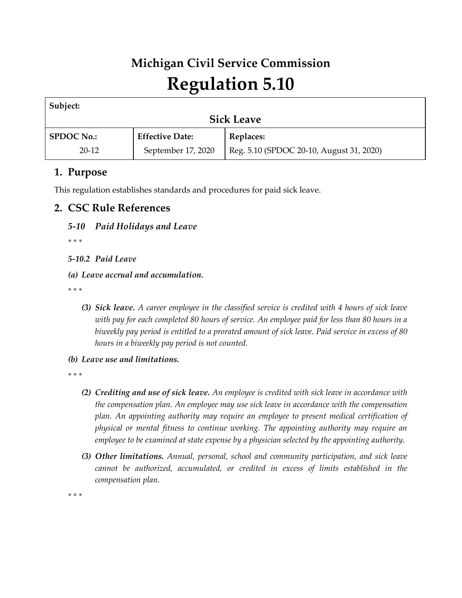# **Michigan Civil Service Commission Regulation 5.10**

| Subject:          |                        |                                          |  |  |  |
|-------------------|------------------------|------------------------------------------|--|--|--|
| <b>Sick Leave</b> |                        |                                          |  |  |  |
| <b>SPDOC No.:</b> | <b>Effective Date:</b> | Replaces:                                |  |  |  |
| $20 - 12$         | September 17, 2020     | Reg. 5.10 (SPDOC 20-10, August 31, 2020) |  |  |  |

# **1. Purpose**

This regulation establishes standards and procedures for paid sick leave.

# **2. CSC Rule References**

## *5-10 Paid Holidays and Leave*

*\* \* \** 

*5-10.2 Paid Leave*

*(a) Leave accrual and accumulation.*

*\* \* \** 

- *(3) Sick leave. A career employee in the classified service is credited with 4 hours of sick leave with pay for each completed 80 hours of service. An employee paid for less than 80 hours in a biweekly pay period is entitled to a prorated amount of sick leave. Paid service in excess of 80 hours in a biweekly pay period is not counted.*
- *(b) Leave use and limitations.*

*\* \* \** 

- *(2) Crediting and use of sick leave. An employee is credited with sick leave in accordance with the compensation plan. An employee may use sick leave in accordance with the compensation plan. An appointing authority may require an employee to present medical certification of physical or mental fitness to continue working. The appointing authority may require an employee to be examined at state expense by a physician selected by the appointing authority.*
- *(3) Other limitations. Annual, personal, school and community participation, and sick leave cannot be authorized, accumulated, or credited in excess of limits established in the compensation plan.*

*\* \* \**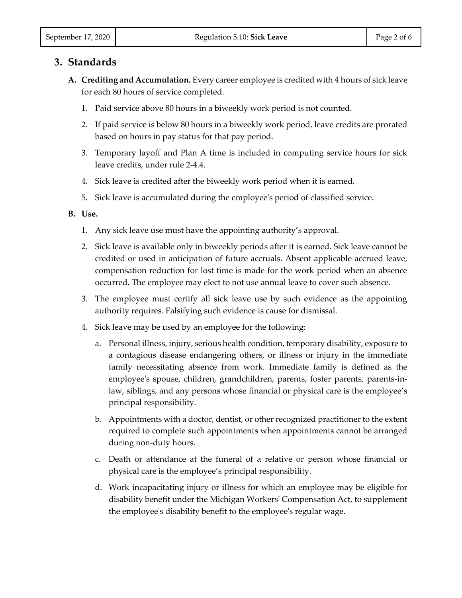## **3. Standards**

- **A. Crediting and Accumulation.** Every career employee is credited with 4 hours of sick leave for each 80 hours of service completed.
	- 1. Paid service above 80 hours in a biweekly work period is not counted.
	- 2. If paid service is below 80 hours in a biweekly work period, leave credits are prorated based on hours in pay status for that pay period.
	- 3. Temporary layoff and Plan A time is included in computing service hours for sick leave credits, under rule 2-4.4.
	- 4. Sick leave is credited after the biweekly work period when it is earned.
	- 5. Sick leave is accumulated during the employee's period of classified service.

#### **B. Use.**

- 1. Any sick leave use must have the appointing authority's approval.
- 2. Sick leave is available only in biweekly periods after it is earned. Sick leave cannot be credited or used in anticipation of future accruals. Absent applicable accrued leave, compensation reduction for lost time is made for the work period when an absence occurred. The employee may elect to not use annual leave to cover such absence.
- 3. The employee must certify all sick leave use by such evidence as the appointing authority requires. Falsifying such evidence is cause for dismissal.
- 4. Sick leave may be used by an employee for the following:
	- a. Personal illness, injury, serious health condition, temporary disability, exposure to a contagious disease endangering others, or illness or injury in the immediate family necessitating absence from work. Immediate family is defined as the employee's spouse, children, grandchildren, parents, foster parents, parents-inlaw, siblings, and any persons whose financial or physical care is the employee's principal responsibility.
	- b. Appointments with a doctor, dentist, or other recognized practitioner to the extent required to complete such appointments when appointments cannot be arranged during non-duty hours.
	- c. Death or attendance at the funeral of a relative or person whose financial or physical care is the employee's principal responsibility.
	- d. Work incapacitating injury or illness for which an employee may be eligible for disability benefit under the Michigan Workers' Compensation Act, to supplement the employee's disability benefit to the employee's regular wage.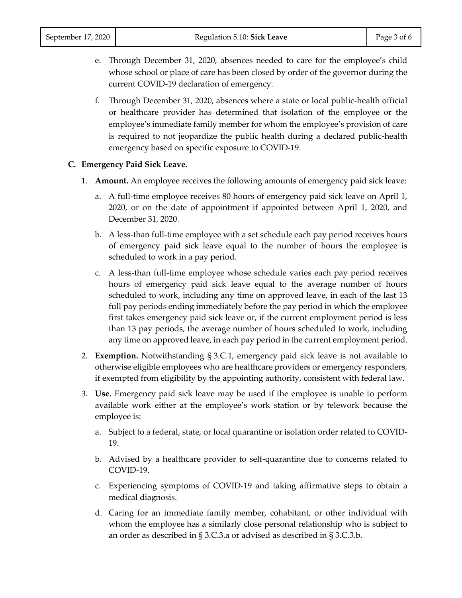- e. Through December 31, 2020, absences needed to care for the employee's child whose school or place of care has been closed by order of the governor during the current COVID-19 declaration of emergency.
- f. Through December 31, 2020, absences where a state or local public-health official or healthcare provider has determined that isolation of the employee or the employee's immediate family member for whom the employee's provision of care is required to not jeopardize the public health during a declared public-health emergency based on specific exposure to COVID-19.

#### **C. Emergency Paid Sick Leave.**

- 1. **Amount.** An employee receives the following amounts of emergency paid sick leave:
	- a. A full-time employee receives 80 hours of emergency paid sick leave on April 1, 2020, or on the date of appointment if appointed between April 1, 2020, and December 31, 2020.
	- b. A less-than full-time employee with a set schedule each pay period receives hours of emergency paid sick leave equal to the number of hours the employee is scheduled to work in a pay period.
	- c. A less-than full-time employee whose schedule varies each pay period receives hours of emergency paid sick leave equal to the average number of hours scheduled to work, including any time on approved leave, in each of the last 13 full pay periods ending immediately before the pay period in which the employee first takes emergency paid sick leave or, if the current employment period is less than 13 pay periods, the average number of hours scheduled to work, including any time on approved leave, in each pay period in the current employment period.
- 2. **Exemption.** Notwithstanding § 3.C.1, emergency paid sick leave is not available to otherwise eligible employees who are healthcare providers or emergency responders, if exempted from eligibility by the appointing authority, consistent with federal law.
- 3. **Use.** Emergency paid sick leave may be used if the employee is unable to perform available work either at the employee's work station or by telework because the employee is:
	- a. Subject to a federal, state, or local quarantine or isolation order related to COVID-19.
	- b. Advised by a healthcare provider to self-quarantine due to concerns related to COVID-19.
	- c. Experiencing symptoms of COVID-19 and taking affirmative steps to obtain a medical diagnosis.
	- d. Caring for an immediate family member, cohabitant, or other individual with whom the employee has a similarly close personal relationship who is subject to an order as described in § 3.C.3.a or advised as described in § 3.C.3.b.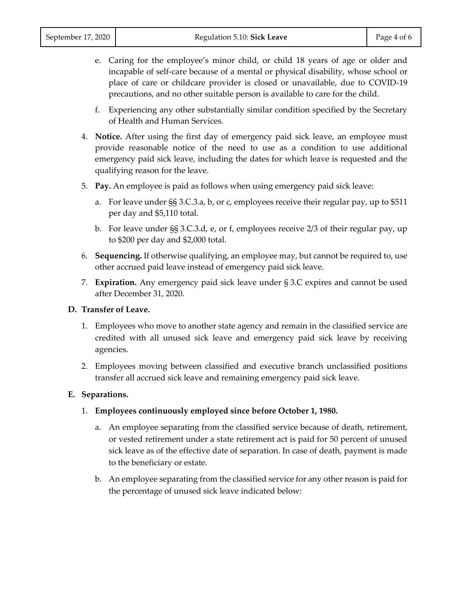- e. Caring for the employee's minor child, or child 18 years of age or older and incapable of self-care because of a mental or physical disability, whose school or place of care or childcare provider is closed or unavailable, due to COVID-19 precautions, and no other suitable person is available to care for the child.
- f. Experiencing any other substantially similar condition specified by the Secretary of Health and Human Services.
- 4. **Notice.** After using the first day of emergency paid sick leave, an employee must provide reasonable notice of the need to use as a condition to use additional emergency paid sick leave, including the dates for which leave is requested and the qualifying reason for the leave.
- 5. **Pay.** An employee is paid as follows when using emergency paid sick leave:
	- a. For leave under §§ 3.C.3.a, b, or c, employees receive their regular pay, up to \$511 per day and \$5,110 total.
	- b. For leave under §§ 3.C.3.d, e, or f, employees receive 2/3 of their regular pay, up to \$200 per day and \$2,000 total.
- 6. **Sequencing.** If otherwise qualifying, an employee may, but cannot be required to, use other accrued paid leave instead of emergency paid sick leave.
- 7. **Expiration.** Any emergency paid sick leave under § 3.C expires and cannot be used after December 31, 2020.

#### **D. Transfer of Leave.**

- 1. Employees who move to another state agency and remain in the classified service are credited with all unused sick leave and emergency paid sick leave by receiving agencies.
- 2. Employees moving between classified and executive branch unclassified positions transfer all accrued sick leave and remaining emergency paid sick leave.

#### **E. Separations.**

- 1. **Employees continuously employed since before October 1, 1980.**
	- a. An employee separating from the classified service because of death, retirement, or vested retirement under a state retirement act is paid for 50 percent of unused sick leave as of the effective date of separation. In case of death, payment is made to the beneficiary or estate.
	- b. An employee separating from the classified service for any other reason is paid for the percentage of unused sick leave indicated below: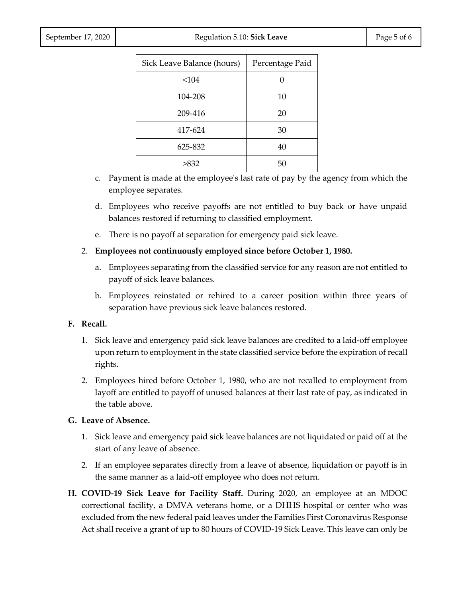| Page 5 of 6 |  |  |  |
|-------------|--|--|--|
|-------------|--|--|--|

| Sick Leave Balance (hours) | Percentage Paid |  |
|----------------------------|-----------------|--|
| < 104                      |                 |  |
| 104-208                    | 10              |  |
| 209-416                    | 20              |  |
| 417-624                    | 30              |  |
| 625-832                    | 40              |  |
| >832                       | 50              |  |

- c. Payment is made at the employee's last rate of pay by the agency from which the employee separates.
- d. Employees who receive payoffs are not entitled to buy back or have unpaid balances restored if returning to classified employment.
- e. There is no payoff at separation for emergency paid sick leave.
- 2. **Employees not continuously employed since before October 1, 1980.**
	- a. Employees separating from the classified service for any reason are not entitled to payoff of sick leave balances.
	- b. Employees reinstated or rehired to a career position within three years of separation have previous sick leave balances restored.

#### **F. Recall.**

- 1. Sick leave and emergency paid sick leave balances are credited to a laid-off employee upon return to employment in the state classified service before the expiration of recall rights.
- 2. Employees hired before October 1, 1980, who are not recalled to employment from layoff are entitled to payoff of unused balances at their last rate of pay, as indicated in the table above.

#### **G. Leave of Absence.**

- 1. Sick leave and emergency paid sick leave balances are not liquidated or paid off at the start of any leave of absence.
- 2. If an employee separates directly from a leave of absence, liquidation or payoff is in the same manner as a laid-off employee who does not return.
- **H. COVID-19 Sick Leave for Facility Staff.** During 2020, an employee at an MDOC correctional facility, a DMVA veterans home, or a DHHS hospital or center who was excluded from the new federal paid leaves under the Families First Coronavirus Response Act shall receive a grant of up to 80 hours of COVID-19 Sick Leave. This leave can only be